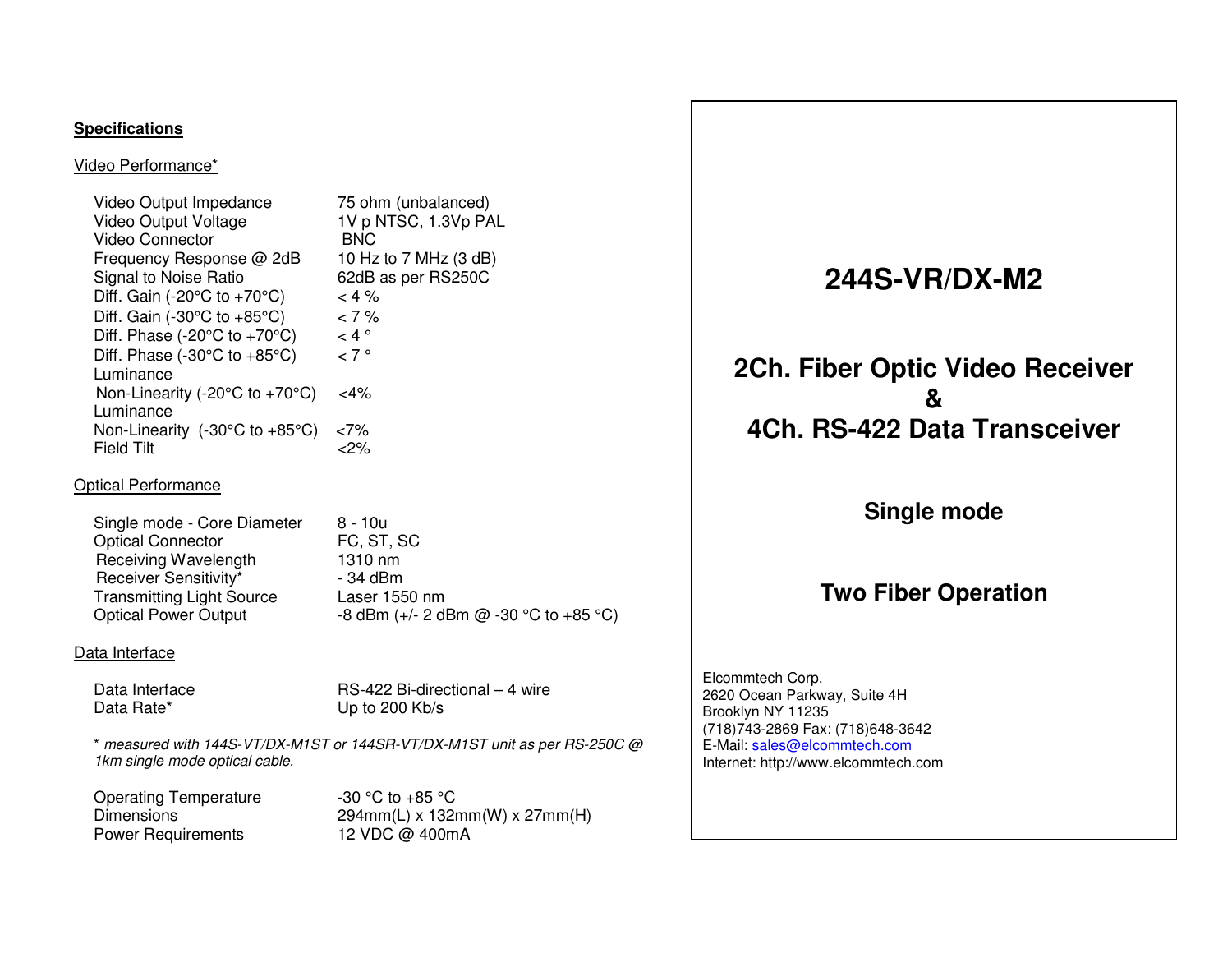#### **Specifications**

Video Performance\*

| Video Output Impedance                                  | 75 ohm (unbalanced)   |
|---------------------------------------------------------|-----------------------|
| Video Output Voltage                                    | 1V p NTSC, 1.3Vp PAL  |
| Video Connector                                         | BNC.                  |
| Frequency Response @ 2dB                                | 10 Hz to 7 MHz (3 dB) |
| Signal to Noise Ratio                                   | 62dB as per RS250C    |
| Diff. Gain (-20 $\textdegree$ C to +70 $\textdegree$ C) | $< 4 \%$              |
| Diff. Gain (-30 $\degree$ C to +85 $\degree$ C)         | $< 7\%$               |
| Diff. Phase (-20°C to +70°C)                            | $< 4$ $^{\circ}$      |
| Diff. Phase $(-30^{\circ}C \text{ to } +85^{\circ}C)$   | $\sim$ 7 $^{\circ}$   |
| Luminance                                               |                       |
| Non-Linearity (-20°C to +70°C)                          | $<$ 4%                |
| Luminance                                               |                       |
| Non-Linearity $(-30^{\circ}C \text{ to } +85^{\circ}C)$ | ${<}7\%$              |
| Field Tilt                                              | 2%>                   |

#### Optical Performance

| Single mode - Core Diameter      | 8 - 10u                               |
|----------------------------------|---------------------------------------|
| <b>Optical Connector</b>         | FC, ST, SC                            |
| Receiving Wavelength             | 1310 nm                               |
| Receiver Sensitivity*            | - 34 dBm                              |
| <b>Transmitting Light Source</b> | Laser 1550 nm                         |
| <b>Optical Power Output</b>      | -8 dBm (+/- 2 dBm @ -30 °C to +85 °C) |

#### Data Interface

Data Rate\* Up to 200 Kb/s

Data Interface RS-422 Bi-directional – 4 wire

\* measured with 144S-VT/DX-M1ST or 144SR-VT/DX-M1ST unit as per RS-250C @ 1km single mode optical cable.

Operating Temperature -30 °C to +85 °C<br>Dimensions - 294mm(L) x 132 Power Requirements 12 VDC @ 400mA

Dimensions 294mm(L) x 132mm(W) x 27mm(H)

## **244S-VR/DX-M2**

## **2Ch. Fiber Optic Video Receiver & 4Ch. RS-422 Data Transceiver**

### **Single mode**

### **Two Fiber Operation**

Elcommtech Corp. 2620 Ocean Parkway, Suite 4H Brooklyn NY 11235 (718)743-2869 Fax: (718)648-3642 E-Mail: sales@elcommtech.comInternet: http://www.elcommtech.com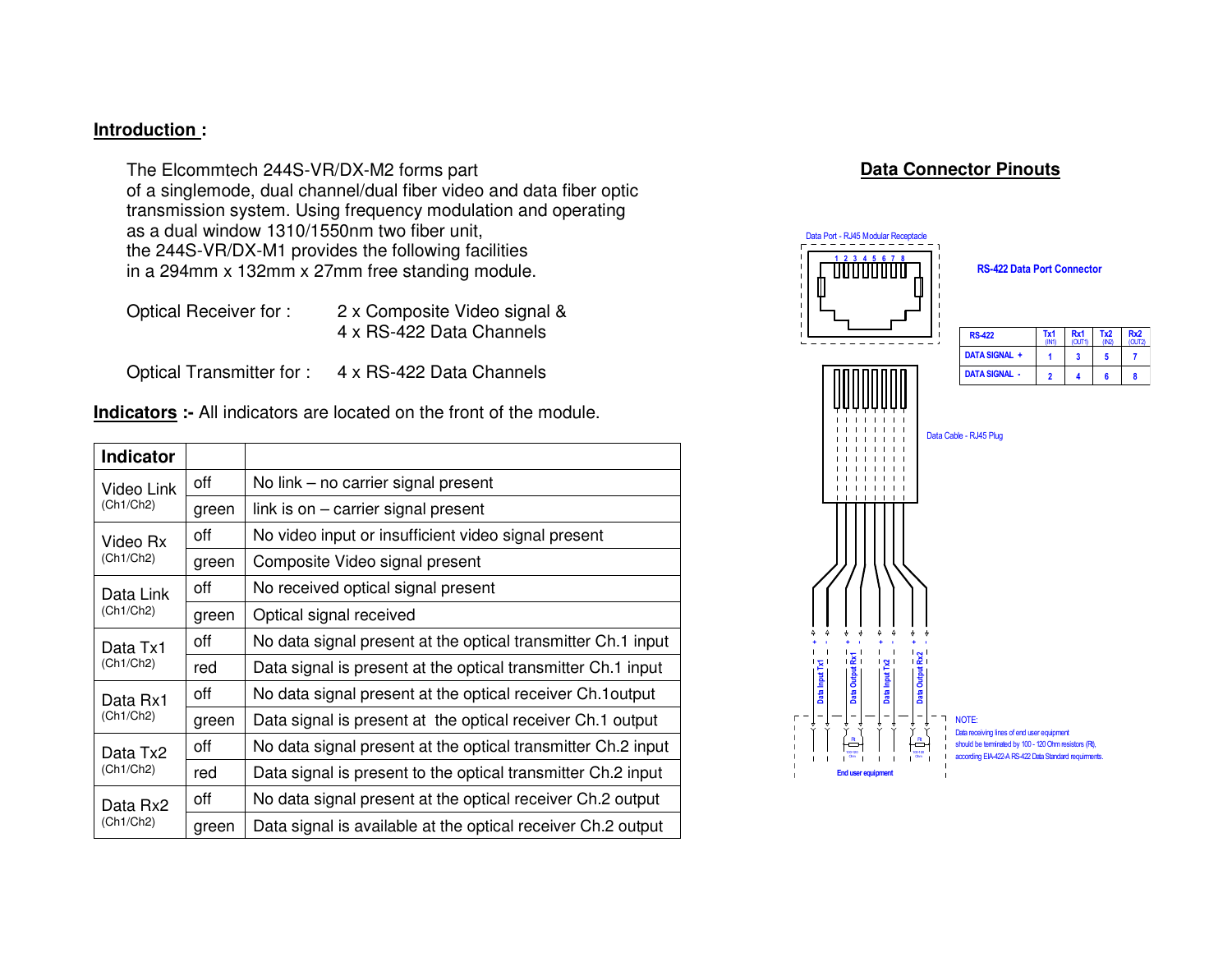#### **Introduction :**

The Elcommtech 244S-VR/DX-M2 forms part of a singlemode, dual channel/dual fiber video and data fiber optic transmission system. Using frequency modulation and operating as a dual window 1310/1550nm two fiber unit, the 244S-VR/DX-M1 provides the following facilitiesin a 294mm x 132mm x 27mm free standing module.

Optical Receiver for : 2 x Composite Video signal & 4 x RS-422 Data Channels

Optical Transmitter for : 4 x RS-422 Data Channels

 **Indicators :-** All indicators are located on the front of the module.

| <b>Indicator</b> |       |                                                              |  |
|------------------|-------|--------------------------------------------------------------|--|
| Video Link       | off   | No link – no carrier signal present                          |  |
| (Ch1/Ch2)        | green | link is on $-$ carrier signal present                        |  |
| off<br>Video Rx  |       | No video input or insufficient video signal present          |  |
| (Ch1/Ch2)        | green | Composite Video signal present                               |  |
| Data Link        | off   | No received optical signal present                           |  |
| (Ch1/Ch2)        | green | Optical signal received                                      |  |
| Data Tx1         | off   | No data signal present at the optical transmitter Ch.1 input |  |
| (Ch1/Ch2)        | red   | Data signal is present at the optical transmitter Ch.1 input |  |
| Data Rx1         | off   | No data signal present at the optical receiver Ch.1 output   |  |
| (Ch1/Ch2)        | green | Data signal is present at the optical receiver Ch.1 output   |  |
| Data Tx2         | off   | No data signal present at the optical transmitter Ch.2 input |  |
| (Ch1/Ch2)        | red   | Data signal is present to the optical transmitter Ch.2 input |  |
| Data Rx2         | off   | No data signal present at the optical receiver Ch.2 output   |  |
| (Ch1/Ch2)        | green | Data signal is available at the optical receiver Ch.2 output |  |

### **Data Connector Pinouts**

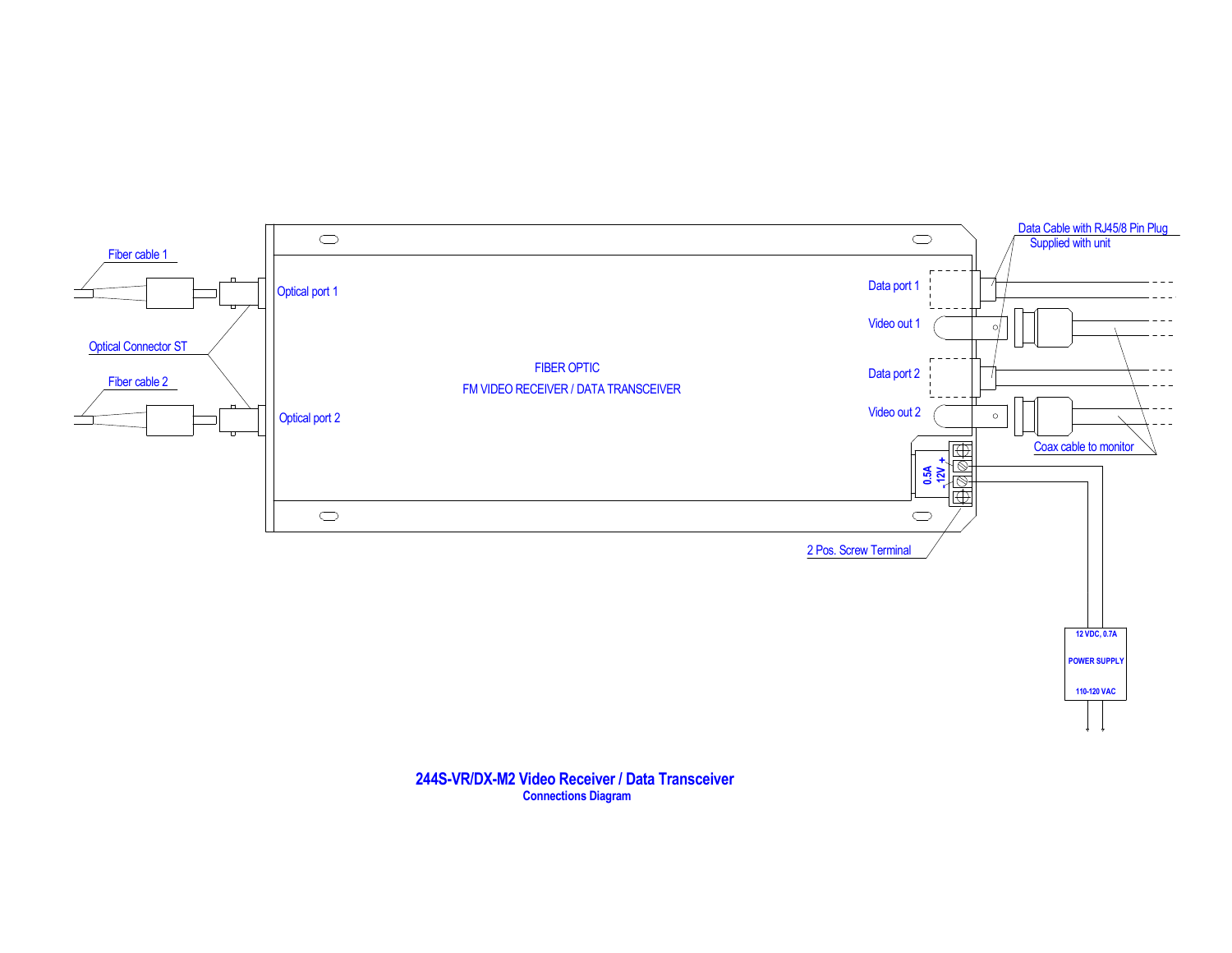

# **244S-VR/DX-M2 Video Receiver / Data Transceiver Connections Diagram**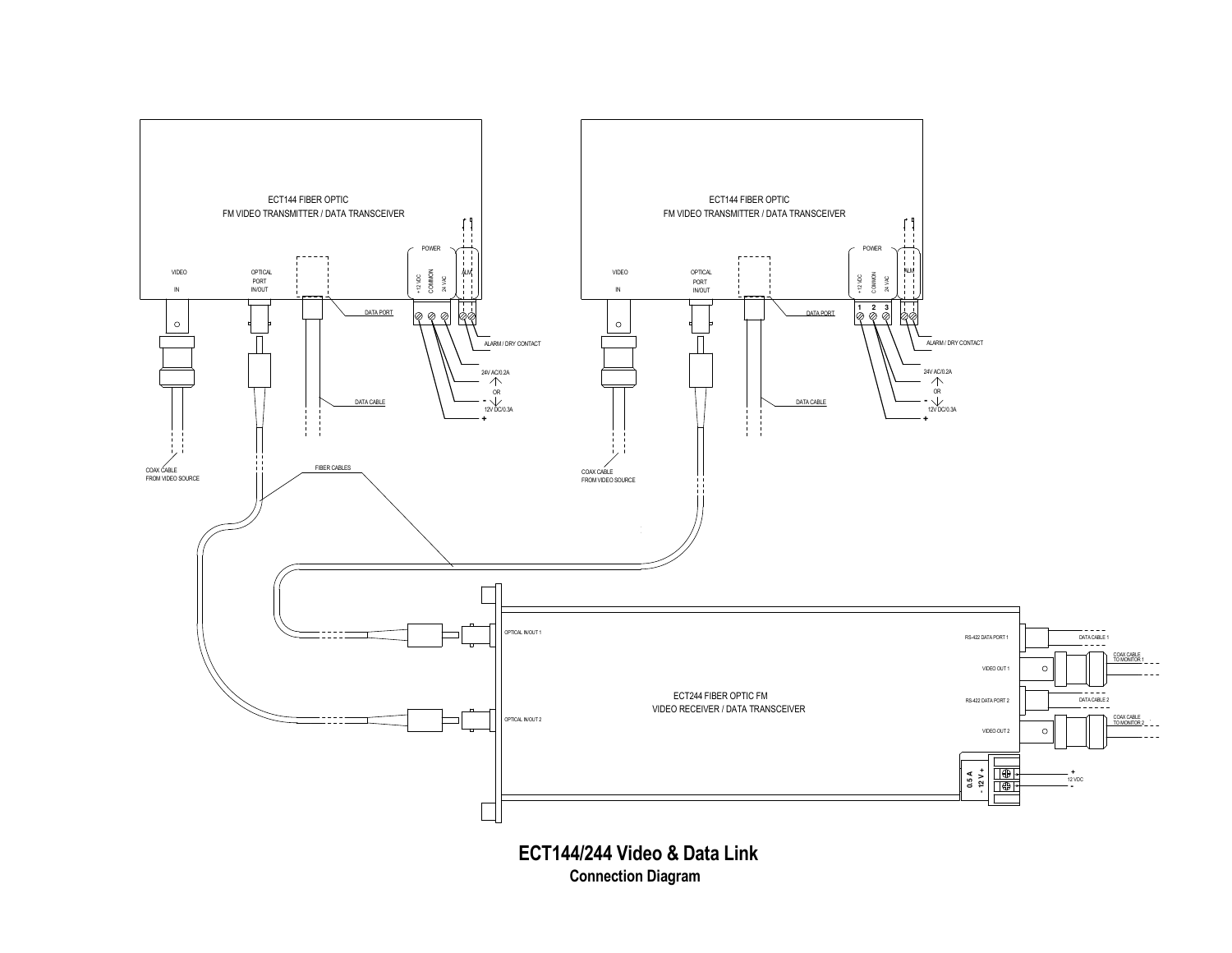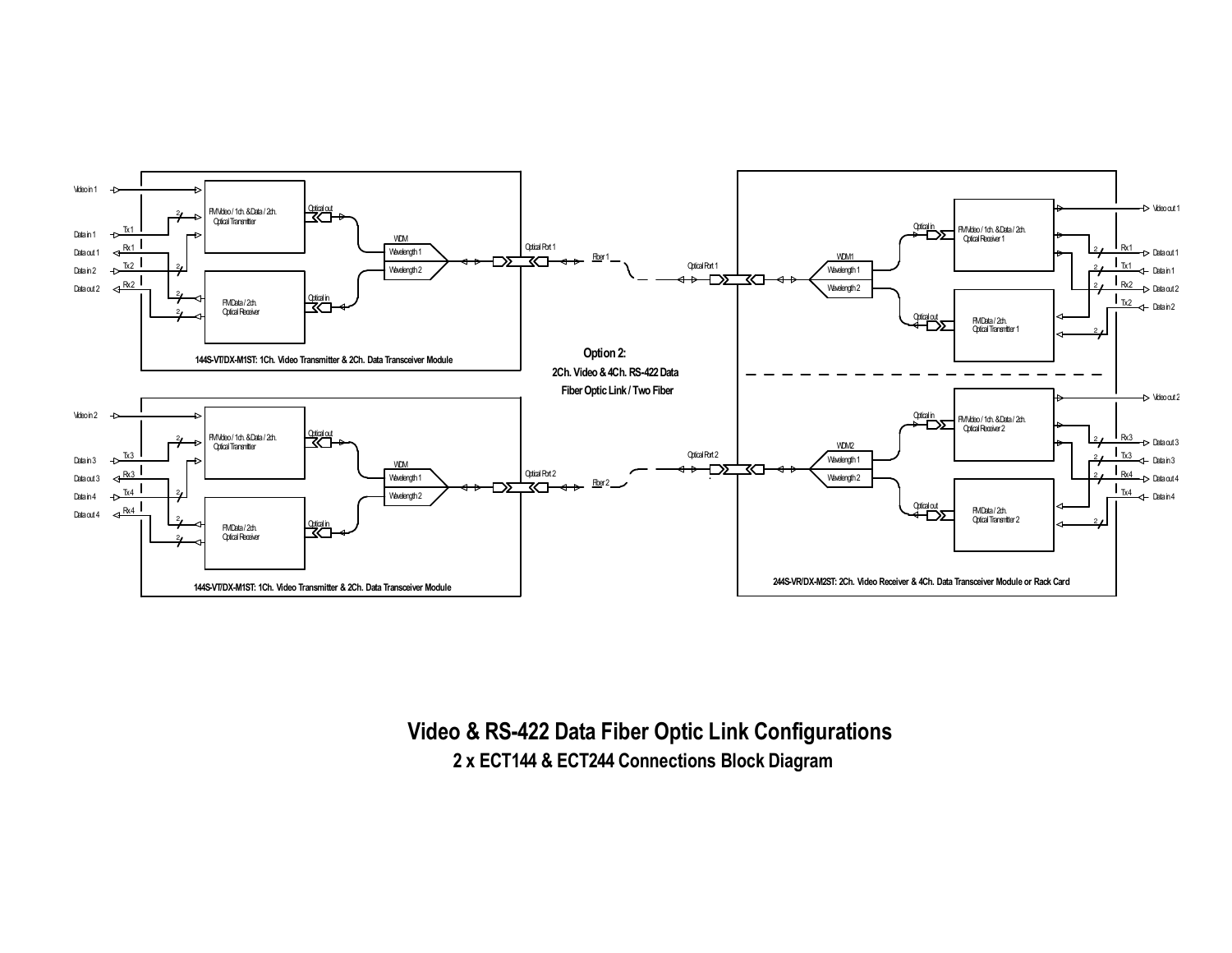

**Video & RS-422 Data Fiber Optic Link Configurations2 x ECT144 & ECT244 Connections Block Diagram**